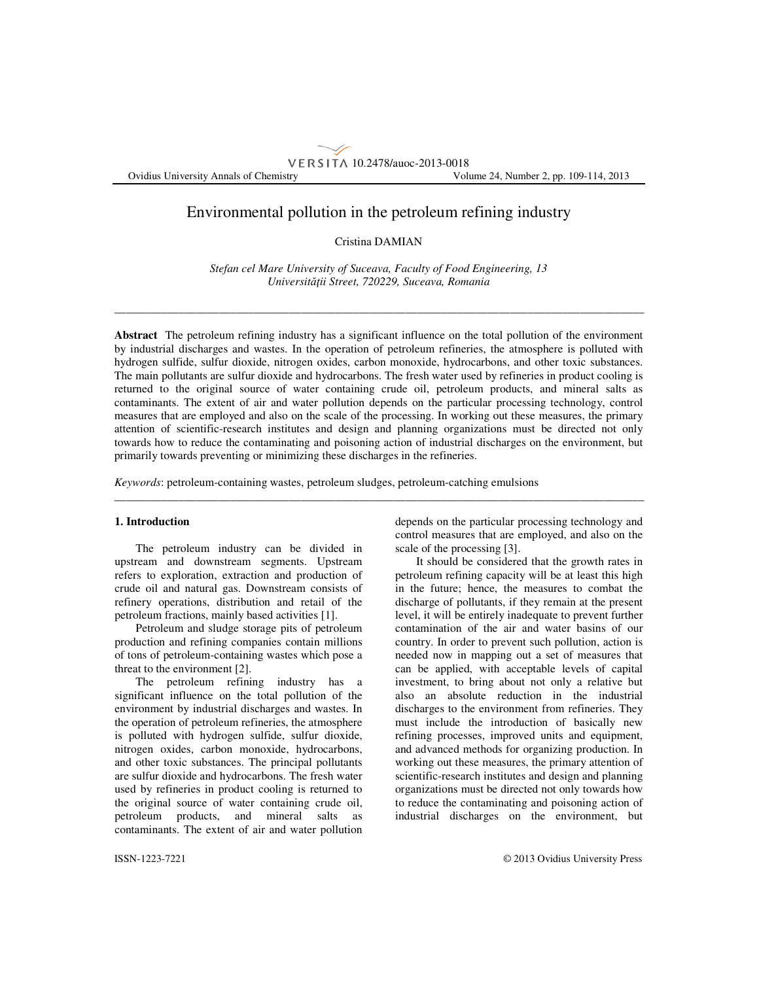Ovidius University Annals of Chemistry Volume 24, Number 2, pp. 109-114, 2013

# Environmental pollution in the petroleum refining industry

Cristina DAMIAN

VERSITA 10.2478/auoc-2013-0018

*Stefan cel Mare University of Suceava, Faculty of Food Engineering, 13 Universit*ăţ*ii Street, 720229, Suceava, Romania* 

\_\_\_\_\_\_\_\_\_\_\_\_\_\_\_\_\_\_\_\_\_\_\_\_\_\_\_\_\_\_\_\_\_\_\_\_\_\_\_\_\_\_\_\_\_\_\_\_\_\_\_\_\_\_\_\_\_\_\_\_\_\_\_\_\_\_\_\_\_\_\_\_\_\_\_\_\_\_\_\_\_\_\_\_\_\_\_\_\_\_\_

**Abstract** The petroleum refining industry has a significant influence on the total pollution of the environment by industrial discharges and wastes. In the operation of petroleum refineries, the atmosphere is polluted with hydrogen sulfide, sulfur dioxide, nitrogen oxides, carbon monoxide, hydrocarbons, and other toxic substances. The main pollutants are sulfur dioxide and hydrocarbons. The fresh water used by refineries in product cooling is returned to the original source of water containing crude oil, petroleum products, and mineral salts as contaminants. The extent of air and water pollution depends on the particular processing technology, control measures that are employed and also on the scale of the processing. In working out these measures, the primary attention of scientific-research institutes and design and planning organizations must be directed not only towards how to reduce the contaminating and poisoning action of industrial discharges on the environment, but primarily towards preventing or minimizing these discharges in the refineries.

\_\_\_\_\_\_\_\_\_\_\_\_\_\_\_\_\_\_\_\_\_\_\_\_\_\_\_\_\_\_\_\_\_\_\_\_\_\_\_\_\_\_\_\_\_\_\_\_\_\_\_\_\_\_\_\_\_\_\_\_\_\_\_\_\_\_\_\_\_\_\_\_\_\_\_\_\_\_\_\_\_\_\_\_\_\_\_\_\_\_\_

*Keywords*: petroleum-containing wastes, petroleum sludges, petroleum-catching emulsions

#### **1. Introduction**

The petroleum industry can be divided in upstream and downstream segments. Upstream refers to exploration, extraction and production of crude oil and natural gas. Downstream consists of refinery operations, distribution and retail of the petroleum fractions, mainly based activities [1].

Petroleum and sludge storage pits of petroleum production and refining companies contain millions of tons of petroleum-containing wastes which pose a threat to the environment [2].

The petroleum refining industry has a significant influence on the total pollution of the environment by industrial discharges and wastes. In the operation of petroleum refineries, the atmosphere is polluted with hydrogen sulfide, sulfur dioxide, nitrogen oxides, carbon monoxide, hydrocarbons, and other toxic substances. The principal pollutants are sulfur dioxide and hydrocarbons. The fresh water used by refineries in product cooling is returned to the original source of water containing crude oil, petroleum products, and mineral salts as contaminants. The extent of air and water pollution scale of the processing [3]. It should be considered that the growth rates in petroleum refining capacity will be at least this high

in the future; hence, the measures to combat the discharge of pollutants, if they remain at the present level, it will be entirely inadequate to prevent further contamination of the air and water basins of our country. In order to prevent such pollution, action is needed now in mapping out a set of measures that can be applied, with acceptable levels of capital investment, to bring about not only a relative but also an absolute reduction in the industrial discharges to the environment from refineries. They must include the introduction of basically new refining processes, improved units and equipment, and advanced methods for organizing production. In working out these measures, the primary attention of scientific-research institutes and design and planning organizations must be directed not only towards how to reduce the contaminating and poisoning action of industrial discharges on the environment, but

depends on the particular processing technology and control measures that are employed, and also on the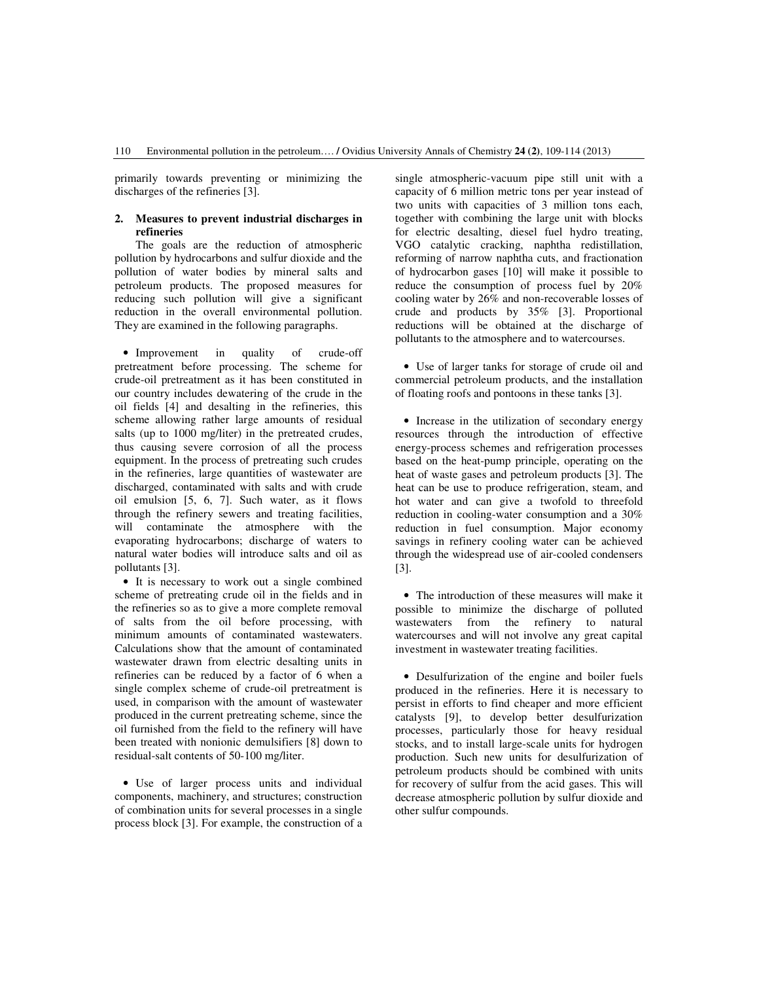primarily towards preventing or minimizing the discharges of the refineries [3].

#### **2. Measures to prevent industrial discharges in refineries**

The goals are the reduction of atmospheric pollution by hydrocarbons and sulfur dioxide and the pollution of water bodies by mineral salts and petroleum products. The proposed measures for reducing such pollution will give a significant reduction in the overall environmental pollution. They are examined in the following paragraphs.

• Improvement in quality of crude-off pretreatment before processing. The scheme for crude-oil pretreatment as it has been constituted in our country includes dewatering of the crude in the oil fields [4] and desalting in the refineries, this scheme allowing rather large amounts of residual salts (up to 1000 mg/liter) in the pretreated crudes, thus causing severe corrosion of all the process equipment. In the process of pretreating such crudes in the refineries, large quantities of wastewater are discharged, contaminated with salts and with crude oil emulsion [5, 6, 7]. Such water, as it flows through the refinery sewers and treating facilities, will contaminate the atmosphere with the evaporating hydrocarbons; discharge of waters to natural water bodies will introduce salts and oil as pollutants [3].

• It is necessary to work out a single combined scheme of pretreating crude oil in the fields and in the refineries so as to give a more complete removal of salts from the oil before processing, with minimum amounts of contaminated wastewaters. Calculations show that the amount of contaminated wastewater drawn from electric desalting units in refineries can be reduced by a factor of 6 when a single complex scheme of crude-oil pretreatment is used, in comparison with the amount of wastewater produced in the current pretreating scheme, since the oil furnished from the field to the refinery will have been treated with nonionic demulsifiers [8] down to residual-salt contents of 50-100 mg/liter.

• Use of larger process units and individual components, machinery, and structures; construction of combination units for several processes in a single process block [3]. For example, the construction of a single atmospheric-vacuum pipe still unit with a capacity of 6 million metric tons per year instead of two units with capacities of 3 million tons each, together with combining the large unit with blocks for electric desalting, diesel fuel hydro treating, VGO catalytic cracking, naphtha redistillation, reforming of narrow naphtha cuts, and fractionation of hydrocarbon gases [10] will make it possible to reduce the consumption of process fuel by 20% cooling water by 26% and non-recoverable losses of crude and products by 35% [3]. Proportional reductions will be obtained at the discharge of pollutants to the atmosphere and to watercourses.

• Use of larger tanks for storage of crude oil and commercial petroleum products, and the installation of floating roofs and pontoons in these tanks [3].

• Increase in the utilization of secondary energy resources through the introduction of effective energy-process schemes and refrigeration processes based on the heat-pump principle, operating on the heat of waste gases and petroleum products [3]. The heat can be use to produce refrigeration, steam, and hot water and can give a twofold to threefold reduction in cooling-water consumption and a 30% reduction in fuel consumption. Major economy savings in refinery cooling water can be achieved through the widespread use of air-cooled condensers [3].

• The introduction of these measures will make it possible to minimize the discharge of polluted wastewaters from the refinery to natural watercourses and will not involve any great capital investment in wastewater treating facilities.

• Desulfurization of the engine and boiler fuels produced in the refineries. Here it is necessary to persist in efforts to find cheaper and more efficient catalysts [9], to develop better desulfurization processes, particularly those for heavy residual stocks, and to install large-scale units for hydrogen production. Such new units for desulfurization of petroleum products should be combined with units for recovery of sulfur from the acid gases. This will decrease atmospheric pollution by sulfur dioxide and other sulfur compounds.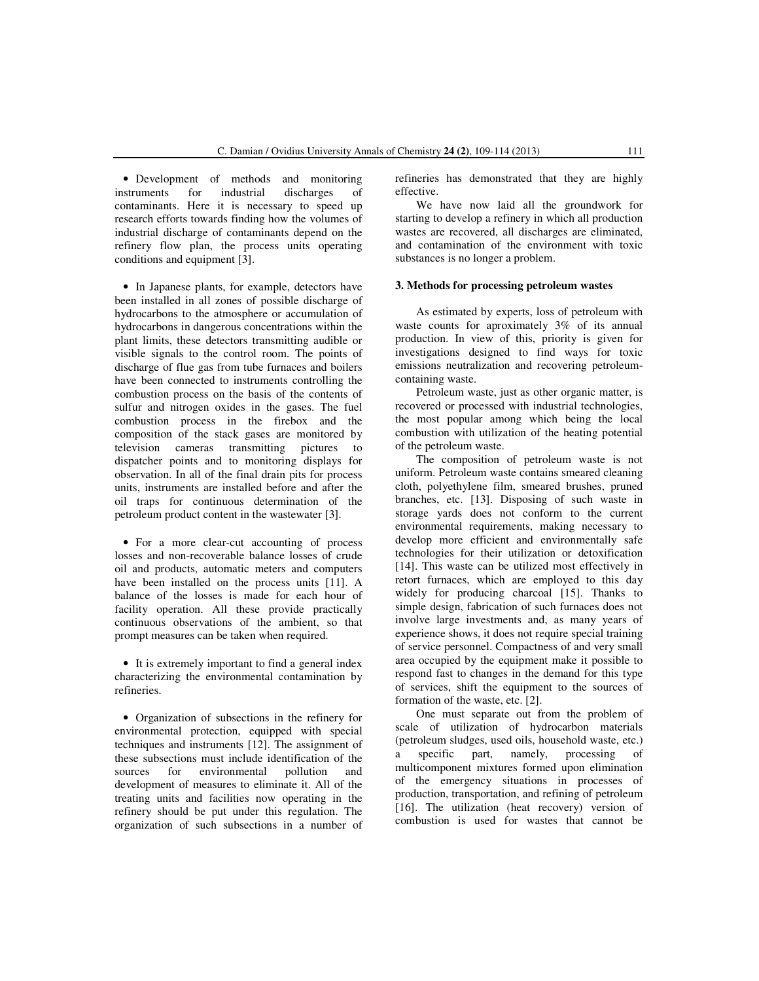• Development of methods and monitoring instruments for industrial discharges of contaminants. Here it is necessary to speed up research efforts towards finding how the volumes of industrial discharge of contaminants depend on the refinery flow plan, the process units operating conditions and equipment [3].

• In Japanese plants, for example, detectors have been installed in all zones of possible discharge of hydrocarbons to the atmosphere or accumulation of hydrocarbons in dangerous concentrations within the plant limits, these detectors transmitting audible or visible signals to the control room. The points of discharge of flue gas from tube furnaces and boilers have been connected to instruments controlling the combustion process on the basis of the contents of sulfur and nitrogen oxides in the gases. The fuel combustion process in the firebox and the composition of the stack gases are monitored by television cameras transmitting pictures to dispatcher points and to monitoring displays for observation. In all of the final drain pits for process units, instruments are installed before and after the oil traps for continuous determination of the petroleum product content in the wastewater [3].

• For a more clear-cut accounting of process losses and non-recoverable balance losses of crude oil and products, automatic meters and computers have been installed on the process units [11]. A balance of the losses is made for each hour of facility operation. All these provide practically continuous observations of the ambient, so that prompt measures can be taken when required.

• It is extremely important to find a general index characterizing the environmental contamination by refineries.

• Organization of subsections in the refinery for environmental protection, equipped with special techniques and instruments [12]. The assignment of these subsections must include identification of the sources for environmental pollution and development of measures to eliminate it. All of the treating units and facilities now operating in the refinery should be put under this regulation. The organization of such subsections in a number of refineries has demonstrated that they are highly effective.

We have now laid all the groundwork for starting to develop a refinery in which all production wastes are recovered, all discharges are eliminated, and contamination of the environment with toxic substances is no longer a problem.

# **3. Methods for processing petroleum wastes**

 As estimated by experts, loss of petroleum with waste counts for aproximately 3% of its annual production. In view of this, priority is given for investigations designed to find ways for toxic emissions neutralization and recovering petroleumcontaining waste.

Petroleum waste, just as other organic matter, is recovered or processed with industrial technologies, the most popular among which being the local combustion with utilization of the heating potential of the petroleum waste.

The composition of petroleum waste is not uniform. Petroleum waste contains smeared cleaning cloth, polyethylene film, smeared brushes, pruned branches, etc. [13]. Disposing of such waste in storage yards does not conform to the current environmental requirements, making necessary to develop more efficient and environmentally safe technologies for their utilization or detoxification [14]. This waste can be utilized most effectively in retort furnaces, which are employed to this day widely for producing charcoal [15]. Thanks to simple design, fabrication of such furnaces does not involve large investments and, as many years of experience shows, it does not require special training of service personnel. Compactness of and very small area occupied by the equipment make it possible to respond fast to changes in the demand for this type of services, shift the equipment to the sources of formation of the waste, etc. [2].

One must separate out from the problem of scale of utilization of hydrocarbon materials (petroleum sludges, used oils, household waste, etc.) a specific part, namely, processing of multicomponent mixtures formed upon elimination of the emergency situations in processes of production, transportation, and refining of petroleum [16]. The utilization (heat recovery) version of combustion is used for wastes that cannot be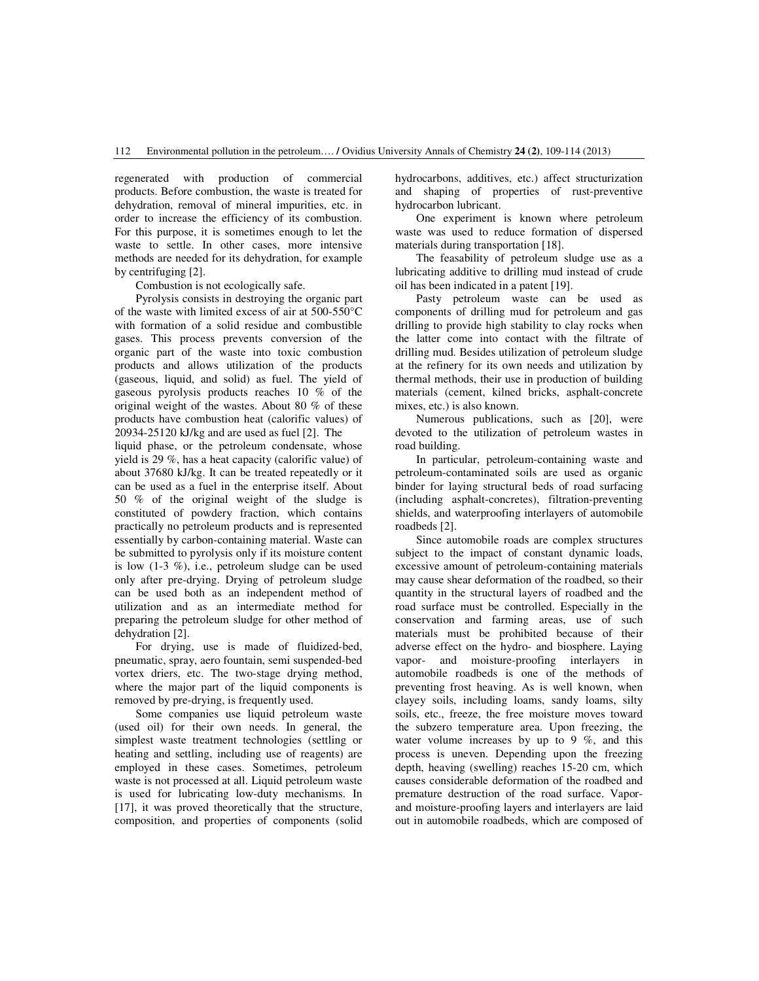regenerated with production of commercial products. Before combustion, the waste is treated for dehydration, removal of mineral impurities, etc. in order to increase the efficiency of its combustion. For this purpose, it is sometimes enough to let the waste to settle. In other cases, more intensive methods are needed for its dehydration, for example by centrifuging [2].

Combustion is not ecologically safe.

Pyrolysis consists in destroying the organic part of the waste with limited excess of air at 500-550°C with formation of a solid residue and combustible gases. This process prevents conversion of the organic part of the waste into toxic combustion products and allows utilization of the products (gaseous, liquid, and solid) as fuel. The yield of gaseous pyrolysis products reaches 10 % of the original weight of the wastes. About 80 % of these products have combustion heat (calorific values) of 20934-25120 kJ/kg and are used as fuel [2]. The

liquid phase, or the petroleum condensate, whose yield is 29 %, has a heat capacity (calorific value) of about 37680 kJ/kg. It can be treated repeatedly or it can be used as a fuel in the enterprise itself. About 50 % of the original weight of the sludge is constituted of powdery fraction, which contains practically no petroleum products and is represented essentially by carbon-containing material. Waste can be submitted to pyrolysis only if its moisture content is low (1-3 %), i.e., petroleum sludge can be used only after pre-drying. Drying of petroleum sludge can be used both as an independent method of utilization and as an intermediate method for preparing the petroleum sludge for other method of dehydration [2].

For drying, use is made of fluidized-bed, pneumatic, spray, aero fountain, semi suspended-bed vortex driers, etc. The two-stage drying method, where the major part of the liquid components is removed by pre-drying, is frequently used.

Some companies use liquid petroleum waste (used oil) for their own needs. In general, the simplest waste treatment technologies (settling or heating and settling, including use of reagents) are employed in these cases. Sometimes, petroleum waste is not processed at all. Liquid petroleum waste is used for lubricating low-duty mechanisms. In [17], it was proved theoretically that the structure, composition, and properties of components (solid hydrocarbons, additives, etc.) affect structurization and shaping of properties of rust-preventive hydrocarbon lubricant.

One experiment is known where petroleum waste was used to reduce formation of dispersed materials during transportation [18].

The feasability of petroleum sludge use as a lubricating additive to drilling mud instead of crude oil has been indicated in a patent [19].

Pasty petroleum waste can be used as components of drilling mud for petroleum and gas drilling to provide high stability to clay rocks when the latter come into contact with the filtrate of drilling mud. Besides utilization of petroleum sludge at the refinery for its own needs and utilization by thermal methods, their use in production of building materials (cement, kilned bricks, asphalt-concrete mixes, etc.) is also known.

Numerous publications, such as [20], were devoted to the utilization of petroleum wastes in road building.

In particular, petroleum-containing waste and petroleum-contaminated soils are used as organic binder for laying structural beds of road surfacing (including asphalt-concretes), filtration-preventing shields, and waterproofing interlayers of automobile roadbeds [2].

Since automobile roads are complex structures subject to the impact of constant dynamic loads, excessive amount of petroleum-containing materials may cause shear deformation of the roadbed, so their quantity in the structural layers of roadbed and the road surface must be controlled. Especially in the conservation and farming areas, use of such materials must be prohibited because of their adverse effect on the hydro- and biosphere. Laying vapor- and moisture-proofing interlayers in automobile roadbeds is one of the methods of preventing frost heaving. As is well known, when clayey soils, including loams, sandy loams, silty soils, etc., freeze, the free moisture moves toward the subzero temperature area. Upon freezing, the water volume increases by up to 9 %, and this process is uneven. Depending upon the freezing depth, heaving (swelling) reaches 15-20 cm, which causes considerable deformation of the roadbed and premature destruction of the road surface. Vaporand moisture-proofing layers and interlayers are laid out in automobile roadbeds, which are composed of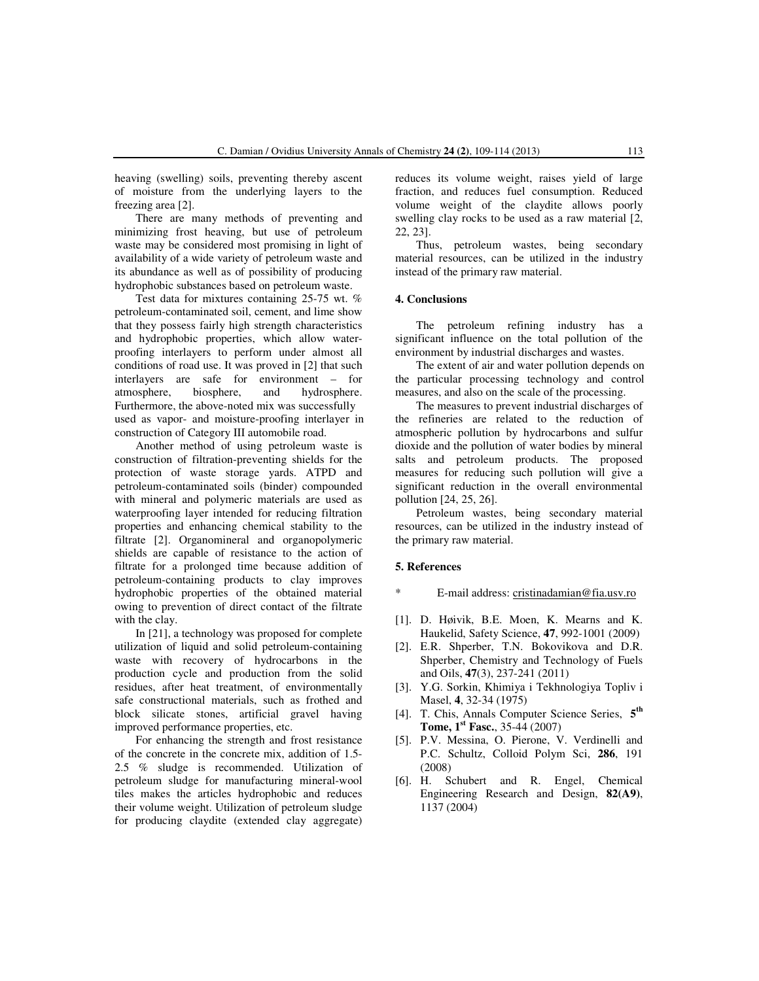heaving (swelling) soils, preventing thereby ascent of moisture from the underlying layers to the freezing area [2].

There are many methods of preventing and minimizing frost heaving, but use of petroleum waste may be considered most promising in light of availability of a wide variety of petroleum waste and its abundance as well as of possibility of producing hydrophobic substances based on petroleum waste.

Test data for mixtures containing 25-75 wt. % petroleum-contaminated soil, cement, and lime show that they possess fairly high strength characteristics and hydrophobic properties, which allow waterproofing interlayers to perform under almost all conditions of road use. It was proved in [2] that such interlayers are safe for environment – for atmosphere, biosphere, and hydrosphere. Furthermore, the above-noted mix was successfully used as vapor- and moisture-proofing interlayer in construction of Category III automobile road.

Another method of using petroleum waste is construction of filtration-preventing shields for the protection of waste storage yards. ATPD and petroleum-contaminated soils (binder) compounded with mineral and polymeric materials are used as waterproofing layer intended for reducing filtration properties and enhancing chemical stability to the filtrate [2]. Organomineral and organopolymeric shields are capable of resistance to the action of filtrate for a prolonged time because addition of petroleum-containing products to clay improves hydrophobic properties of the obtained material owing to prevention of direct contact of the filtrate with the clay.

In [21], a technology was proposed for complete utilization of liquid and solid petroleum-containing waste with recovery of hydrocarbons in the production cycle and production from the solid residues, after heat treatment, of environmentally safe constructional materials, such as frothed and block silicate stones, artificial gravel having improved performance properties, etc.

For enhancing the strength and frost resistance of the concrete in the concrete mix, addition of 1.5- 2.5 % sludge is recommended. Utilization of petroleum sludge for manufacturing mineral-wool tiles makes the articles hydrophobic and reduces their volume weight. Utilization of petroleum sludge for producing claydite (extended clay aggregate) reduces its volume weight, raises yield of large fraction, and reduces fuel consumption. Reduced volume weight of the claydite allows poorly swelling clay rocks to be used as a raw material [2, 22, 23].

Thus, petroleum wastes, being secondary material resources, can be utilized in the industry instead of the primary raw material.

# **4. Conclusions**

The petroleum refining industry has a significant influence on the total pollution of the environment by industrial discharges and wastes.

The extent of air and water pollution depends on the particular processing technology and control measures, and also on the scale of the processing.

The measures to prevent industrial discharges of the refineries are related to the reduction of atmospheric pollution by hydrocarbons and sulfur dioxide and the pollution of water bodies by mineral salts and petroleum products. The proposed measures for reducing such pollution will give a significant reduction in the overall environmental pollution [24, 25, 26].

Petroleum wastes, being secondary material resources, can be utilized in the industry instead of the primary raw material.

## **5. References**

- E-mail address: cristinadamian@fia.usv.ro
- [1]. D. Høivik, B.E. Moen, K. Mearns and K. Haukelid, Safety Science, **47**, 992-1001 (2009)
- [2]. E.R. Shperber, T.N. Bokovikova and D.R. Shperber, Chemistry and Technology of Fuels and Oils, **47**(3), 237-241 (2011)
- [3]. Y.G. Sorkin, Khimiya i Tekhnologiya Topliv i Masel, **4**, 32-34 (1975)
- [4]. T. Chis, Annals Computer Science Series, **5th Tome, 1st Fasc.**, 35-44 (2007)
- [5]. P.V. Messina, O. Pierone, V. Verdinelli and P.C. Schultz, Colloid Polym Sci, **286**, 191 (2008)
- [6]. H. Schubert and R. Engel, Chemical Engineering Research and Design, **82(A9)**, 1137 (2004)